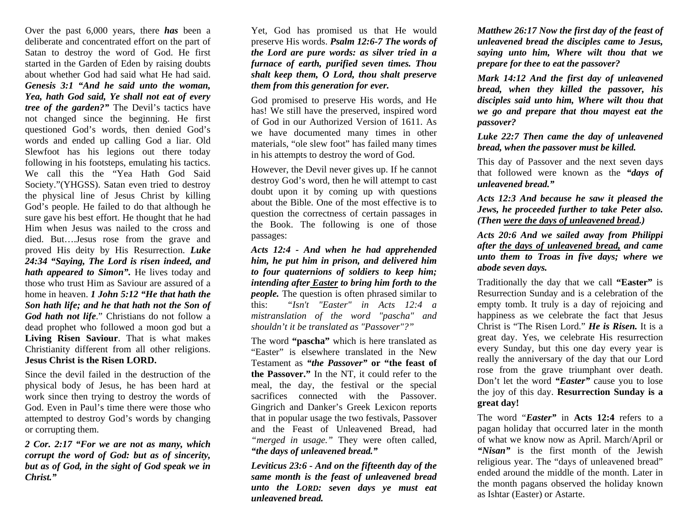Over the past 6,000 years, there *has* been a deliberate and concentrated effort on the part of Satan to destroy the word of God. He first started in the Garden of Eden by raising doubts about whether God had said what He had said. *Genesis 3:1 "And he said unto the woman, Yea, hath God said, Ye shall not eat of every tree of the garden?"* The Devil's tactics have not changed since the beginning. He first questioned God's words, then denied God's words and ended up calling God a liar. Old Slewfoot has his legions out there today following in his footsteps, emulating his tactics. We call this the "Yea Hath God Said Society."(YHGSS). Satan even tried to destroy the physical line of Jesus Christ by killing God's people. He failed to do that although he sure gave his best effort. He thought that he had Him when Jesus was nailed to the cross and died. But….Jesus rose from the grave and proved His deity by His Resurrection. *Luke 24:34 "Saying, The Lord is risen indeed, and hath appeared to Simon".* He lives today and those who trust Him as Saviour are assured of a home in heaven. *1 John 5:12 "He that hath the Son hath life; and he that hath not the Son of God hath not life*." Christians do not follow a dead prophet who followed a moon god but a **Living Risen Saviour**. That is what makes Christianity different from all other religions. **Jesus Christ is the Risen LORD.** 

Since the devil failed in the destruction of the physical body of Jesus, he has been hard at work since then trying to destroy the words of God. Even in Paul's time there were those who attempted to destroy God's words by changing or corrupting them.

*2 Cor. 2:17 "For we are not as many, which corrupt the word of God: but as of sincerity, but as of God, in the sight of God speak we in Christ."* 

Yet, God has promised us that He would preserve His words. *Psalm 12:6-7 The words of the Lord are pure words: as silver tried in a furnace of earth, purified seven times. Thou shalt keep them, O Lord, thou shalt preserve them from this generation for ever.* 

God promised to preserve His words, and He has! We still have the preserved, inspired word of God in our Authorized Version of 1611. As we have documented many times in other materials, "ole slew foot" has failed many times in his attempts to destroy the word of God.

However, the Devil never gives up. If he cannot destroy God's word, then he will attempt to cast doubt upon it by coming up with questions about the Bible. One of the most effective is to question the correctness of certain passages in the Book. The following is one of those passages:

*Acts 12:4 - And when he had apprehended him, he put him in prison, and delivered him to four quaternions of soldiers to keep him; intending after Easter to bring him forth to the people.* The question is often phrased similar to this: *"Isn't "Easter" in Acts 12:4 a mistranslation of the word "pascha" and shouldn't it be translated as "Passover"?"* 

The word **"pascha"** which is here translated as "Easter" is elsewhere translated in the New Testament as *"the Passover"* **or "the feast of the Passover."** In the NT, it could refer to the meal, the day, the festival or the special sacrifices connected with the Passover. Gingrich and Danker's Greek Lexicon reports that in popular usage the two festivals, Passover and the Feast of Unleavened Bread, had *"merged in usage."* They were often called, *"the days of unleavened bread."*

*Leviticus 23:6 - And on the fifteenth day of the same month is the feast of unleavened bread unto the LORD: seven days ye must eat unleavened bread.* 

*Matthew 26:17 Now the first day of the feast of unleavened bread the disciples came to Jesus, saying unto him, Where wilt thou that we prepare for thee to eat the passover?*

*Mark 14:12 And the first day of unleavened bread, when they killed the passover, his disciples said unto him, Where wilt thou that we go and prepare that thou mayest eat the passover?*

*Luke 22:7 Then came the day of unleavened bread, when the passover must be killed.* 

This day of Passover and the next seven days that followed were known as the *"days of unleavened bread."* 

*Acts 12:3 And because he saw it pleased the Jews, he proceeded further to take Peter also. (Then were the days of unleavened bread.)* 

*Acts 20:6 And we sailed away from Philippi after the days of unleavened bread, and came unto them to Troas in five days; where we abode seven days.* 

Traditionally the day that we call **"Easter"** is Resurrection Sunday and is a celebration of the empty tomb. It truly is a day of rejoicing and happiness as we celebrate the fact that Jesus Christ is "The Risen Lord." *He is Risen.* It is a great day. Yes, we celebrate His resurrection every Sunday, but this one day every year is really the anniversary of the day that our Lord rose from the grave triumphant over death. Don't let the word *"Easter"* cause you to lose the joy of this day. **Resurrection Sunday is a great day!**

The word "*Easter"* in **Acts 12:4** refers to a pagan holiday that occurred later in the month of what we know now as April. March/April or *"Nisan"* is the first month of the Jewish religious year. The "days of unleavened bread" ended around the middle of the month. Later in the month pagans observed the holiday known as Ishtar (Easter) or Astarte.